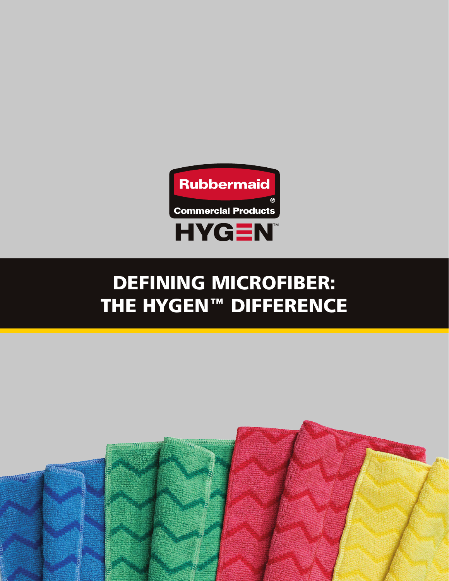

# DEFINING MICROFIBER: THE HYGEN™ DIFFERENCE

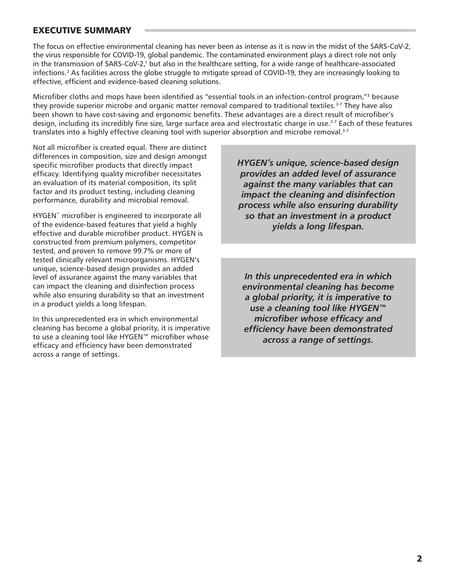# EXECUTIVE SUMMARY

The focus on effective environmental cleaning has never been as intense as it is now in the midst of the SARS-CoV-2, the virus responsible for COVID-19, global pandemic. The contaminated environment plays a direct role not only in the transmission of SARS-CoV-2,<sup>1</sup> but also in the healthcare setting, for a wide range of healthcare-associated infections.2 As facilities across the globe struggle to mitigate spread of COVID-19, they are increasingly looking to effective, efficient and evidence-based cleaning solutions.

Microfiber cloths and mops have been identified as "essential tools in an infection-control program,"3 because they provide superior microbe and organic matter removal compared to traditional textiles. $3-7$  They have also been shown to have cost-saving and ergonomic benefits. These advantages are a direct result of microfiber's design, including its incredibly fine size, large surface area and electrostatic charge in use.<sup>3-7</sup> Each of these features translates into a highly effective cleaning tool with superior absorption and microbe removal.<sup>3-7</sup>

Not all microfiber is created equal. There are distinct differences in composition, size and design amongst specific microfiber products that directly impact efficacy. Identifying quality microfiber necessitates an evaluation of its material composition, its split factor and its product testing, including cleaning performance, durability and microbial removal.

HYGEN™ microfiber is engineered to incorporate all of the evidence-based features that yield a highly effective and durable microfiber product. HYGEN is constructed from premium polymers, competitor tested, and proven to remove 99.7% or more of tested clinically relevant microorganisms. HYGEN's unique, science-based design provides an added level of assurance against the many variables that can impact the cleaning and disinfection process while also ensuring durability so that an investment in a product yields a long lifespan.

In this unprecedented era in which environmental cleaning has become a global priority, it is imperative to use a cleaning tool like HYGEN™ microfiber whose efficacy and efficiency have been demonstrated across a range of settings.

*HYGEN's unique, science-based design provides an added level of assurance against the many variables that can impact the cleaning and disinfection process while also ensuring durability so that an investment in a product yields a long lifespan.*

*In this unprecedented era in which environmental cleaning has become a global priority, it is imperative to use a cleaning tool like HYGEN™ microfiber whose efficacy and efficiency have been demonstrated across a range of settings.*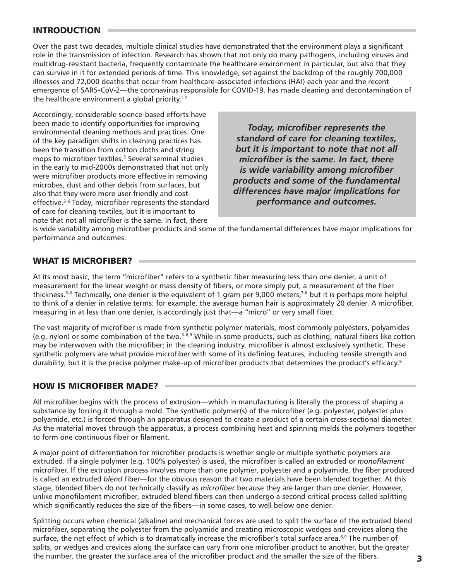## INTRODUCTION

Over the past two decades, multiple clinical studies have demonstrated that the environment plays a significant role in the transmission of infection. Research has shown that not only do many pathogens, including viruses and multidrug-resistant bacteria, frequently contaminate the healthcare environment in particular, but also that they can survive in it for extended periods of time. This knowledge, set against the backdrop of the roughly 700,000 illnesses and 72,000 deaths that occur from healthcare-associated infections (HAI) each year and the recent emergence of SARS-CoV-2—the coronavirus responsible for COVID-19, has made cleaning and decontamination of the healthcare environment a global priority.<sup>1-2</sup>

Accordingly, considerable science-based efforts have been made to identify opportunities for improving environmental cleaning methods and practices. One of the key paradigm shifts in cleaning practices has been the transition from cotton cloths and string mops to microfiber textiles.<sup>3</sup> Several seminal studies in the early to mid-2000s demonstrated that not only were microfiber products more effective in removing microbes, dust and other debris from surfaces, but also that they were more user-friendly and costeffective.<sup>3-6</sup> Today, microfiber represents the standard of care for cleaning textiles, but it is important to note that not all microfiber is the same. In fact, there

*Today, microfiber represents the standard of care for cleaning textiles, but it is important to note that not all microfiber is the same. In fact, there is wide variability among microfiber products and some of the fundamental differences have major implications for performance and outcomes.* 

is wide variability among microfiber products and some of the fundamental differences have major implications for performance and outcomes.

## WHAT IS MICROFIBER?

At its most basic, the term "microfiber" refers to a synthetic fiber measuring less than one denier, a unit of measurement for the linear weight or mass density of fibers, or more simply put, a measurement of the fiber thickness.<sup>5-6</sup> Technically, one denier is the equivalent of 1 gram per 9,000 meters,<sup>7-8</sup> but it is perhaps more helpful to think of a denier in relative terms: for example, the average human hair is approximately 20 denier. A microfiber, measuring in at less than one denier, is accordingly just that—a "micro" or very small fiber.

The vast majority of microfiber is made from synthetic polymer materials, most commonly polyesters, polyamides (e.g. nylon) or some combination of the two.<sup>5-6,9</sup> While in some products, such as clothing, natural fibers like cotton may be interwoven with the microfiber; in the cleaning industry, microfiber is almost exclusively synthetic. These synthetic polymers are what provide microfiber with some of its defining features, including tensile strength and durability, but it is the precise polymer make-up of microfiber products that determines the product's efficacy.<sup>9</sup>

## HOW IS MICROFIBER MADE?

All microfiber begins with the process of extrusion—which in manufacturing is literally the process of shaping a substance by forcing it through a mold. The synthetic polymer(s) of the microfiber (e.g. polyester, polyester plus polyamide, etc.) is forced through an apparatus designed to create a product of a certain cross-sectional diameter. As the material moves through the apparatus, a process combining heat and spinning melds the polymers together to form one continuous fiber or filament.

A major point of differentiation for microfiber products is whether single or multiple synthetic polymers are extruded. If a single polymer (e.g. 100% polyester) is used, the microfiber is called an extruded or *monofilament* microfiber. If the extrusion process involves more than one polymer, polyester and a polyamide, the fiber produced is called an extruded *blend* fiber—for the obvious reason that two materials have been blended together. At this stage, blended fibers do not technically classify as *microfiber* because they are larger than one denier. However, unlike monofilament microfiber, extruded blend fibers can then undergo a second critical process called splitting which significantly reduces the size of the fibers—in some cases, to well below one denier.

Splitting occurs when chemical (alkaline) and mechanical forces are used to split the surface of the extruded blend microfiber, separating the polyester from the polyamide and creating microscopic wedges and crevices along the surface, the net effect of which is to dramatically increase the microfiber's total surface area.<sup>6,9</sup> The number of splits, or wedges and crevices along the surface can vary from one microfiber product to another, but the greater the number, the greater the surface area of the microfiber product and the smaller the size of the fibers.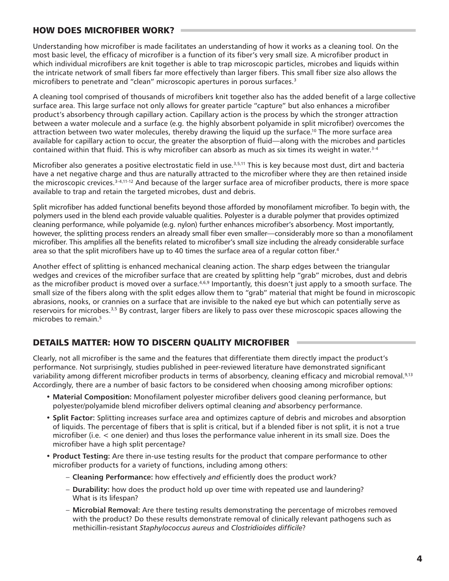## HOW DOES MICROFIBER WORK?

Understanding how microfiber is made facilitates an understanding of how it works as a cleaning tool. On the most basic level, the efficacy of microfiber is a function of its fiber's very small size. A microfiber product in which individual microfibers are knit together is able to trap microscopic particles, microbes and liquids within the intricate network of small fibers far more effectively than larger fibers. This small fiber size also allows the microfibers to penetrate and "clean" microscopic apertures in porous surfaces.<sup>3</sup>

A cleaning tool comprised of thousands of microfibers knit together also has the added benefit of a large collective surface area. This large surface not only allows for greater particle "capture" but also enhances a microfiber product's absorbency through capillary action. Capillary action is the process by which the stronger attraction between a water molecule and a surface (e.g. the highly absorbent polyamide in split microfiber) overcomes the attraction between two water molecules, thereby drawing the liquid up the surface.<sup>10</sup> The more surface area available for capillary action to occur, the greater the absorption of fluid—along with the microbes and particles contained within that fluid. This is why microfiber can absorb as much as six times its weight in water.<sup>3-4</sup>

Microfiber also generates a positive electrostatic field in use.<sup>3,5,11</sup> This is key because most dust, dirt and bacteria have a net negative charge and thus are naturally attracted to the microfiber where they are then retained inside the microscopic crevices.<sup>3-4,11-12</sup> And because of the larger surface area of microfiber products, there is more space available to trap and retain the targeted microbes, dust and debris.

Split microfiber has added functional benefits beyond those afforded by monofilament microfiber. To begin with, the polymers used in the blend each provide valuable qualities. Polyester is a durable polymer that provides optimized cleaning performance, while polyamide (e.g. nylon) further enhances microfiber's absorbency. Most importantly, however, the splitting process renders an already small fiber even smaller—considerably more so than a monofilament microfiber. This amplifies all the benefits related to microfiber's small size including the already considerable surface area so that the split microfibers have up to 40 times the surface area of a regular cotton fiber.<sup>4</sup>

Another effect of splitting is enhanced mechanical cleaning action. The sharp edges between the triangular wedges and crevices of the microfiber surface that are created by splitting help "grab" microbes, dust and debris as the microfiber product is moved over a surface.<sup>4,6,9</sup> Importantly, this doesn't just apply to a smooth surface. The small size of the fibers along with the split edges allow them to "grab" material that might be found in microscopic abrasions, nooks, or crannies on a surface that are invisible to the naked eye but which can potentially serve as reservoirs for microbes.<sup>3,5</sup> By contrast, larger fibers are likely to pass over these microscopic spaces allowing the microbes to remain.<sup>5</sup>

## DETAILS MATTER: HOW TO DISCERN QUALITY MICROFIBER

Clearly, not all microfiber is the same and the features that differentiate them directly impact the product's performance. Not surprisingly, studies published in peer-reviewed literature have demonstrated significant variability among different microfiber products in terms of absorbency, cleaning efficacy and microbial removal.<sup>9,13</sup> Accordingly, there are a number of basic factors to be considered when choosing among microfiber options:

- **Material Composition:** Monofilament polyester microfiber delivers good cleaning performance, but polyester/polyamide blend microfiber delivers optimal cleaning *and* absorbency performance.
- **Split Factor:** Splitting increases surface area and optimizes capture of debris and microbes and absorption of liquids. The percentage of fibers that is split is critical, but if a blended fiber is not split, it is not a true microfiber (i.e. < one denier) and thus loses the performance value inherent in its small size. Does the microfiber have a high split percentage?
- **Product Testing:** Are there in-use testing results for the product that compare performance to other microfiber products for a variety of functions, including among others:
	- **Cleaning Performance:** how effectively *and* efficiently does the product work?
	- **Durability:** how does the product hold up over time with repeated use and laundering? What is its lifespan?
	- **Microbial Removal:** Are there testing results demonstrating the percentage of microbes removed with the product? Do these results demonstrate removal of clinically relevant pathogens such as methicillin-resistant *Staphylococcus aureus* and *Clostridioides difficile*?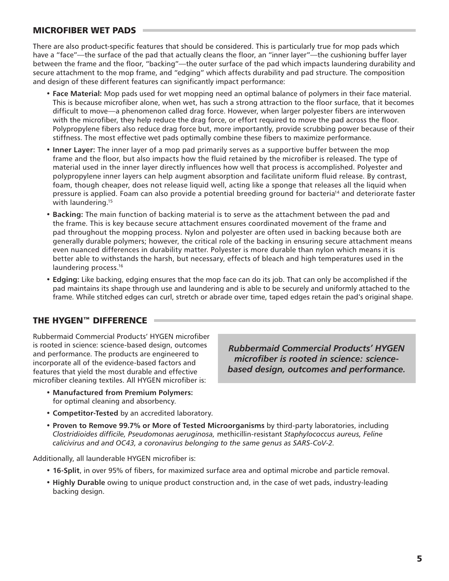## MICROFIBER WET PADS

There are also product-specific features that should be considered. This is particularly true for mop pads which have a "face"—the surface of the pad that actually cleans the floor, an "inner layer"—the cushioning buffer layer between the frame and the floor, "backing"—the outer surface of the pad which impacts laundering durability and secure attachment to the mop frame, and "edging" which affects durability and pad structure. The composition and design of these different features can significantly impact performance:

- **Face Material:** Mop pads used for wet mopping need an optimal balance of polymers in their face material. This is because microfiber alone, when wet, has such a strong attraction to the floor surface, that it becomes difficult to move—a phenomenon called drag force. However, when larger polyester fibers are interwoven with the microfiber, they help reduce the drag force, or effort required to move the pad across the floor. Polypropylene fibers also reduce drag force but, more importantly, provide scrubbing power because of their stiffness. The most effective wet pads optimally combine these fibers to maximize performance.
- **Inner Layer:** The inner layer of a mop pad primarily serves as a supportive buffer between the mop frame and the floor, but also impacts how the fluid retained by the microfiber is released. The type of material used in the inner layer directly influences how well that process is accomplished. Polyester and polypropylene inner layers can help augment absorption and facilitate uniform fluid release. By contrast, foam, though cheaper, does not release liquid well, acting like a sponge that releases all the liquid when pressure is applied. Foam can also provide a potential breeding ground for bacteria<sup>14</sup> and deteriorate faster with laundering.<sup>15</sup>
- **Backing:** The main function of backing material is to serve as the attachment between the pad and the frame. This is key because secure attachment ensures coordinated movement of the frame and pad throughout the mopping process. Nylon and polyester are often used in backing because both are generally durable polymers; however, the critical role of the backing in ensuring secure attachment means even nuanced differences in durability matter. Polyester is more durable than nylon which means it is better able to withstands the harsh, but necessary, effects of bleach and high temperatures used in the laundering process.<sup>16</sup>
- **Edging:** Like backing, edging ensures that the mop face can do its job. That can only be accomplished if the pad maintains its shape through use and laundering and is able to be securely and uniformly attached to the frame. While stitched edges can curl, stretch or abrade over time, taped edges retain the pad's original shape.

## THE HYGEN™ DIFFERENCE =

Rubbermaid Commercial Products' HYGEN microfiber is rooted in science: science-based design, outcomes and performance. The products are engineered to incorporate all of the evidence-based factors and features that yield the most durable and effective microfiber cleaning textiles. All HYGEN microfiber is:

• **Manufactured from Premium Polymers:** for optimal cleaning and absorbency.

*Rubbermaid Commercial Products' HYGEN microfiber is rooted in science: sciencebased design, outcomes and performance.*

- **Competitor-Tested** by an accredited laboratory.
- **Proven to Remove 99.7% or More of Tested Microorganisms** by third-party laboratories, including *Clostridioides difficile, Pseudomonas aeruginosa,* methicillin-resistant *Staphylococcus aureus, Feline calicivirus and and OC43, a coronavirus belonging to the same genus as SARS-CoV-2*.

Additionally, all launderable HYGEN microfiber is:

- **16-Split**, in over 95% of fibers, for maximized surface area and optimal microbe and particle removal.
- **Highly Durable** owing to unique product construction and, in the case of wet pads, industry-leading backing design.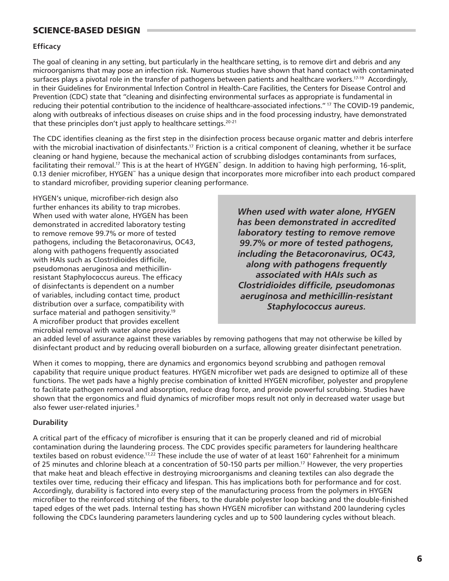# SCIENCE-BASED DESIGN

#### **Efficacy**

The goal of cleaning in any setting, but particularly in the healthcare setting, is to remove dirt and debris and any microorganisms that may pose an infection risk. Numerous studies have shown that hand contact with contaminated surfaces plays a pivotal role in the transfer of pathogens between patients and healthcare workers.<sup>17-19</sup> Accordingly, in their Guidelines for Environmental Infection Control in Health-Care Facilities, the Centers for Disease Control and Prevention (CDC) state that "cleaning and disinfecting environmental surfaces as appropriate is fundamental in reducing their potential contribution to the incidence of healthcare-associated infections." 17 The COVID-19 pandemic, along with outbreaks of infectious diseases on cruise ships and in the food processing industry, have demonstrated that these principles don't just apply to healthcare settings.<sup>20-21</sup>

The CDC identifies cleaning as the first step in the disinfection process because organic matter and debris interfere with the microbial inactivation of disinfectants.<sup>17</sup> Friction is a critical component of cleaning, whether it be surface cleaning or hand hygiene, because the mechanical action of scrubbing dislodges contaminants from surfaces, facilitating their removal.<sup>17</sup> This is at the heart of HYGEN<sup>™</sup> design. In addition to having high performing, 16-split, 0.13 denier microfiber, HYGEN™ has a unique design that incorporates more microfiber into each product compared to standard microfiber, providing superior cleaning performance.

HYGEN's unique, microfiber-rich design also further enhances its ability to trap microbes. When used with water alone, HYGEN has been demonstrated in accredited laboratory testing to remove remove 99.7% or more of tested pathogens, including the Betacoronavirus, OC43, along with pathogens frequently associated with HAIs such as Clostridioides difficile, pseudomonas aeruginosa and methicillinresistant Staphylococcus aureus. The efficacy of disinfectants is dependent on a number of variables, including contact time, product distribution over a surface, compatibility with surface material and pathogen sensitivity.<sup>19</sup> A microfiber product that provides excellent microbial removal with water alone provides

*When used with water alone, HYGEN has been demonstrated in accredited laboratory testing to remove remove 99.7% or more of tested pathogens, including the Betacoronavirus, OC43, along with pathogens frequently associated with HAIs such as Clostridioides difficile, pseudomonas aeruginosa and methicillin-resistant Staphylococcus aureus.*

an added level of assurance against these variables by removing pathogens that may not otherwise be killed by disinfectant product and by reducing overall bioburden on a surface, allowing greater disinfectant penetration.

When it comes to mopping, there are dynamics and ergonomics beyond scrubbing and pathogen removal capability that require unique product features. HYGEN microfiber wet pads are designed to optimize all of these functions. The wet pads have a highly precise combination of knitted HYGEN microfiber, polyester and propylene to facilitate pathogen removal and absorption, reduce drag force, and provide powerful scrubbing. Studies have shown that the ergonomics and fluid dynamics of microfiber mops result not only in decreased water usage but also fewer user-related injuries.<sup>3</sup>

## **Durability**

A critical part of the efficacy of microfiber is ensuring that it can be properly cleaned and rid of microbial contamination during the laundering process. The CDC provides specific parameters for laundering healthcare textiles based on robust evidence.<sup>17,22</sup> These include the use of water of at least 160° Fahrenheit for a minimum of 25 minutes and chlorine bleach at a concentration of 50-150 parts per million.17 However, the very properties that make heat and bleach effective in destroying microorganisms and cleaning textiles can also degrade the textiles over time, reducing their efficacy and lifespan. This has implications both for performance and for cost. Accordingly, durability is factored into every step of the manufacturing process from the polymers in HYGEN microfiber to the reinforced stitching of the fibers, to the durable polyester loop backing and the double-finished taped edges of the wet pads. Internal testing has shown HYGEN microfiber can withstand 200 laundering cycles following the CDCs laundering parameters laundering cycles and up to 500 laundering cycles without bleach.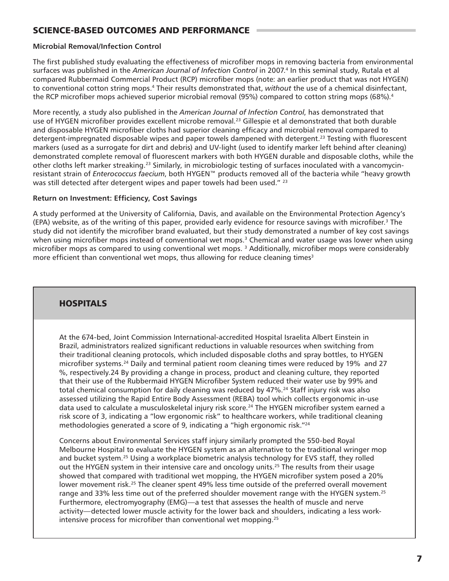## SCIENCE-BASED OUTCOMES AND PERFORMANCE

#### **Microbial Removal/Infection Control**

The first published study evaluating the effectiveness of microfiber mops in removing bacteria from environmental surfaces was published in the *American Journal of Infection Control* in 2007.<sup>4</sup> In this seminal study, Rutala et al compared Rubbermaid Commercial Product (RCP) microfiber mops (note: an earlier product that was not HYGEN) to conventional cotton string mops.4 Their results demonstrated that, *without* the use of a chemical disinfectant, the RCP microfiber mops achieved superior microbial removal (95%) compared to cotton string mops (68%).<sup>4</sup>

More recently, a study also published in the *American Journal of Infection Control*, has demonstrated that use of HYGEN microfiber provides excellent microbe removal.<sup>23</sup> Gillespie et al demonstrated that both durable and disposable HYGEN microfiber cloths had superior cleaning efficacy and microbial removal compared to detergent-impregnated disposable wipes and paper towels dampened with detergent.<sup>23</sup> Testing with fluorescent markers (used as a surrogate for dirt and debris) and UV-light (used to identify marker left behind after cleaning) demonstrated complete removal of fluorescent markers with both HYGEN durable and disposable cloths, while the other cloths left marker streaking.<sup>23</sup> Similarly, in microbiologic testing of surfaces inoculated with a vancomycinresistant strain of *Enterococcus faecium*, both HYGEN™ products removed all of the bacteria while "heavy growth was still detected after detergent wipes and paper towels had been used."<sup>23</sup>

#### **Return on Investment: Efficiency, Cost Savings**

A study performed at the University of California, Davis, and available on the Environmental Protection Agency's (EPA) website, as of the writing of this paper, provided early evidence for resource savings with microfiber.<sup>3</sup> The study did not identify the microfiber brand evaluated, but their study demonstrated a number of key cost savings when using microfiber mops instead of conventional wet mops.<sup>3</sup> Chemical and water usage was lower when using microfiber mops as compared to using conventional wet mops.<sup>3</sup> Additionally, microfiber mops were considerably more efficient than conventional wet mops, thus allowing for reduce cleaning times<sup>3</sup>

# HOSPITALS

At the 674-bed, Joint Commission International-accredited Hospital Israelita Albert Einstein in Brazil, administrators realized significant reductions in valuable resources when switching from their traditional cleaning protocols, which included disposable cloths and spray bottles, to HYGEN microfiber systems.24 Daily and terminal patient room cleaning times were reduced by 19% and 27 %, respectively.24 By providing a change in process, product and cleaning culture, they reported that their use of the Rubbermaid HYGEN Microfiber System reduced their water use by 99% and total chemical consumption for daily cleaning was reduced by 47%.<sup>24</sup> Staff injury risk was also assessed utilizing the Rapid Entire Body Assessment (REBA) tool which collects ergonomic in-use data used to calculate a musculoskeletal injury risk score.<sup>24</sup> The HYGEN microfiber system earned a risk score of 3, indicating a "low ergonomic risk" to healthcare workers, while traditional cleaning methodologies generated a score of 9, indicating a "high ergonomic risk."24

Concerns about Environmental Services staff injury similarly prompted the 550-bed Royal Melbourne Hospital to evaluate the HYGEN system as an alternative to the traditional wringer mop and bucket system.<sup>25</sup> Using a workplace biometric analysis technology for EVS staff, they rolled out the HYGEN system in their intensive care and oncology units.<sup>25</sup> The results from their usage showed that compared with traditional wet mopping, the HYGEN microfiber system posed a 20% lower movement risk.<sup>25</sup> The cleaner spent 49% less time outside of the preferred overall movement range and 33% less time out of the preferred shoulder movement range with the HYGEN system.<sup>25</sup> Furthermore, electromyography (EMG)—a test that assesses the health of muscle and nerve activity—detected lower muscle activity for the lower back and shoulders, indicating a less workintensive process for microfiber than conventional wet mopping.25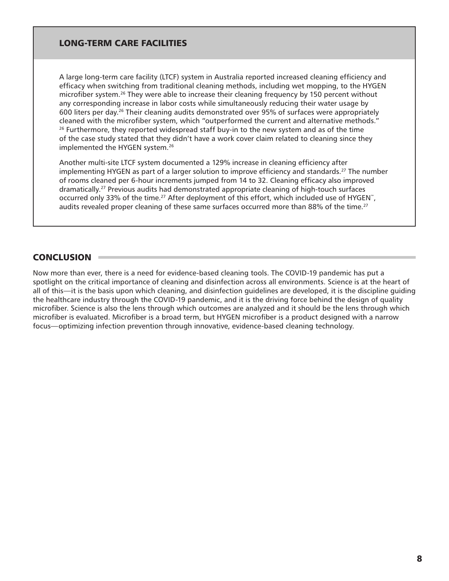## LONG-TERM CARE FACILITIES

A large long-term care facility (LTCF) system in Australia reported increased cleaning efficiency and efficacy when switching from traditional cleaning methods, including wet mopping, to the HYGEN microfiber system.<sup>26</sup> They were able to increase their cleaning frequency by 150 percent without any corresponding increase in labor costs while simultaneously reducing their water usage by 600 liters per day.26 Their cleaning audits demonstrated over 95% of surfaces were appropriately cleaned with the microfiber system, which "outperformed the current and alternative methods."  $26$  Furthermore, they reported widespread staff buy-in to the new system and as of the time of the case study stated that they didn't have a work cover claim related to cleaning since they implemented the HYGEN system.<sup>26</sup>

Another multi-site LTCF system documented a 129% increase in cleaning efficiency after implementing HYGEN as part of a larger solution to improve efficiency and standards.27 The number of rooms cleaned per 6-hour increments jumped from 14 to 32. Cleaning efficacy also improved dramatically.27 Previous audits had demonstrated appropriate cleaning of high-touch surfaces occurred only 33% of the time.<sup>27</sup> After deployment of this effort, which included use of HYGEN<sup>"</sup>, audits revealed proper cleaning of these same surfaces occurred more than 88% of the time.<sup>27</sup>

## **CONCLUSION**

Now more than ever, there is a need for evidence-based cleaning tools. The COVID-19 pandemic has put a spotlight on the critical importance of cleaning and disinfection across all environments. Science is at the heart of all of this—it is the basis upon which cleaning, and disinfection guidelines are developed, it is the discipline guiding the healthcare industry through the COVID-19 pandemic, and it is the driving force behind the design of quality microfiber. Science is also the lens through which outcomes are analyzed and it should be the lens through which microfiber is evaluated. Microfiber is a broad term, but HYGEN microfiber is a product designed with a narrow focus—optimizing infection prevention through innovative, evidence-based cleaning technology.